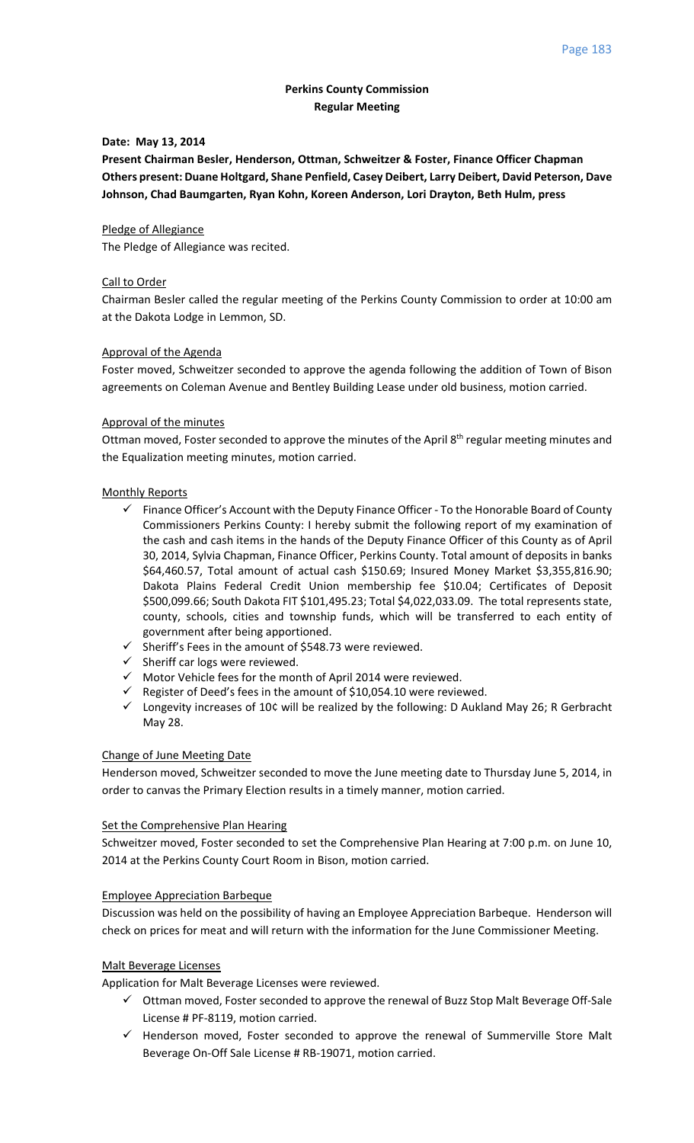# **Perkins County Commission Regular Meeting**

## **Date: May 13, 2014**

**Present Chairman Besler, Henderson, Ottman, Schweitzer & Foster, Finance Officer Chapman Others present: Duane Holtgard, Shane Penfield, Casey Deibert, Larry Deibert, David Peterson, Dave Johnson, Chad Baumgarten, Ryan Kohn, Koreen Anderson, Lori Drayton, Beth Hulm, press**

## Pledge of Allegiance

The Pledge of Allegiance was recited.

## Call to Order

Chairman Besler called the regular meeting of the Perkins County Commission to order at 10:00 am at the Dakota Lodge in Lemmon, SD.

### Approval of the Agenda

Foster moved, Schweitzer seconded to approve the agenda following the addition of Town of Bison agreements on Coleman Avenue and Bentley Building Lease under old business, motion carried.

### Approval of the minutes

Ottman moved, Foster seconded to approve the minutes of the April 8<sup>th</sup> regular meeting minutes and the Equalization meeting minutes, motion carried.

### Monthly Reports

- $\checkmark$  Finance Officer's Account with the Deputy Finance Officer To the Honorable Board of County Commissioners Perkins County: I hereby submit the following report of my examination of the cash and cash items in the hands of the Deputy Finance Officer of this County as of April 30, 2014, Sylvia Chapman, Finance Officer, Perkins County. Total amount of deposits in banks \$64,460.57, Total amount of actual cash \$150.69; Insured Money Market \$3,355,816.90; Dakota Plains Federal Credit Union membership fee \$10.04; Certificates of Deposit \$500,099.66; South Dakota FIT \$101,495.23; Total \$4,022,033.09. The total represents state, county, schools, cities and township funds, which will be transferred to each entity of government after being apportioned.
- $\checkmark$  Sheriff's Fees in the amount of \$548.73 were reviewed.
- $\checkmark$  Sheriff car logs were reviewed.
- $\checkmark$  Motor Vehicle fees for the month of April 2014 were reviewed.
- $\checkmark$  Register of Deed's fees in the amount of \$10,054.10 were reviewed.
- $\checkmark$  Longevity increases of 10¢ will be realized by the following: D Aukland May 26; R Gerbracht May 28.

## Change of June Meeting Date

Henderson moved, Schweitzer seconded to move the June meeting date to Thursday June 5, 2014, in order to canvas the Primary Election results in a timely manner, motion carried.

### **Set the Comprehensive Plan Hearing**

Schweitzer moved, Foster seconded to set the Comprehensive Plan Hearing at 7:00 p.m. on June 10, 2014 at the Perkins County Court Room in Bison, motion carried.

#### Employee Appreciation Barbeque

Discussion was held on the possibility of having an Employee Appreciation Barbeque. Henderson will check on prices for meat and will return with the information for the June Commissioner Meeting.

## Malt Beverage Licenses

Application for Malt Beverage Licenses were reviewed.

- $\checkmark$  Ottman moved, Foster seconded to approve the renewal of Buzz Stop Malt Beverage Off-Sale License # PF‐8119, motion carried.
- $\checkmark$  Henderson moved, Foster seconded to approve the renewal of Summerville Store Malt Beverage On‐Off Sale License # RB‐19071, motion carried.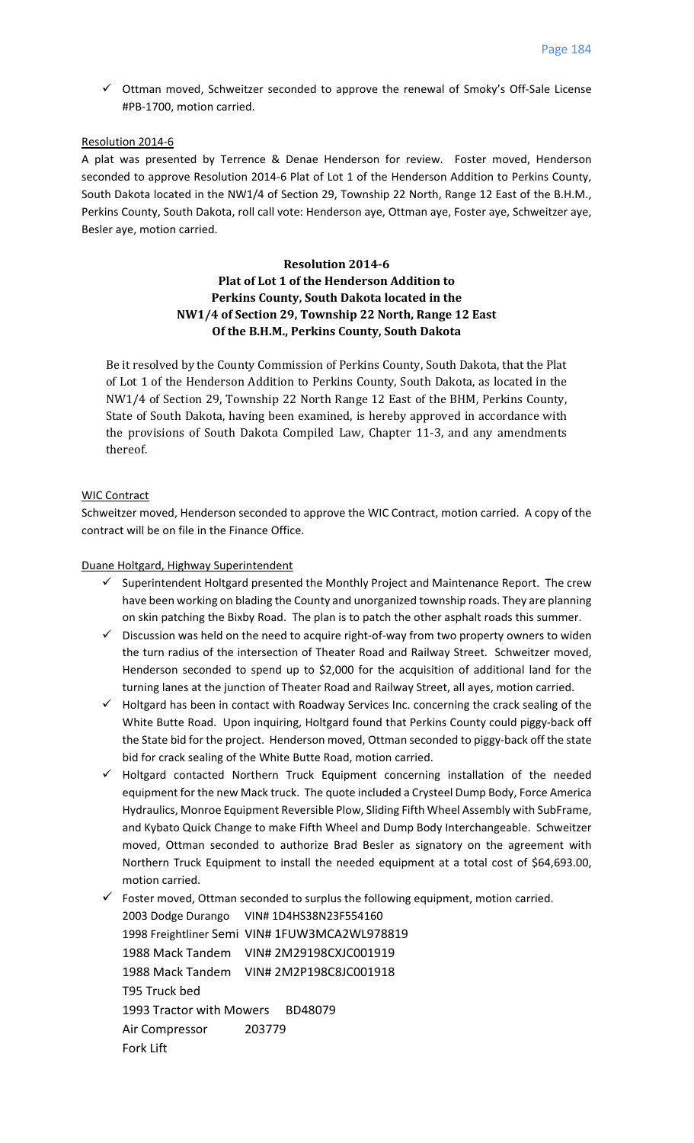Ottman moved, Schweitzer seconded to approve the renewal of Smoky's Off‐Sale License #PB‐1700, motion carried.

# Resolution 2014‐6

A plat was presented by Terrence & Denae Henderson for review. Foster moved, Henderson seconded to approve Resolution 2014‐6 Plat of Lot 1 of the Henderson Addition to Perkins County, South Dakota located in the NW1/4 of Section 29, Township 22 North, Range 12 East of the B.H.M., Perkins County, South Dakota, roll call vote: Henderson aye, Ottman aye, Foster aye, Schweitzer aye, Besler aye, motion carried.

# **Resolution 2014‐6 Plat of Lot 1 of the Henderson Addition to Perkins County, South Dakota located in the NW1/4 of Section 29, Township 22 North, Range 12 East Of the B.H.M., Perkins County, South Dakota**

Be it resolved by the County Commission of Perkins County, South Dakota, that the Plat of Lot 1 of the Henderson Addition to Perkins County, South Dakota, as located in the NW1/4 of Section 29, Township 22 North Range 12 East of the BHM, Perkins County, State of South Dakota, having been examined, is hereby approved in accordance with the provisions of South Dakota Compiled Law, Chapter 11-3, and any amendments thereof. 

## WIC Contract

Schweitzer moved, Henderson seconded to approve the WIC Contract, motion carried. A copy of the contract will be on file in the Finance Office.

## Duane Holtgard, Highway Superintendent

- $\checkmark$  Superintendent Holtgard presented the Monthly Project and Maintenance Report. The crew have been working on blading the County and unorganized township roads. They are planning on skin patching the Bixby Road. The plan is to patch the other asphalt roads this summer.
- $\checkmark$  Discussion was held on the need to acquire right-of-way from two property owners to widen the turn radius of the intersection of Theater Road and Railway Street. Schweitzer moved, Henderson seconded to spend up to \$2,000 for the acquisition of additional land for the turning lanes at the junction of Theater Road and Railway Street, all ayes, motion carried.
- $\checkmark$  Holtgard has been in contact with Roadway Services Inc. concerning the crack sealing of the White Butte Road. Upon inquiring, Holtgard found that Perkins County could piggy-back off the State bid for the project. Henderson moved, Ottman seconded to piggy-back off the state bid for crack sealing of the White Butte Road, motion carried.
- $\checkmark$  Holtgard contacted Northern Truck Equipment concerning installation of the needed equipment for the new Mack truck. The quote included a Crysteel Dump Body, Force America Hydraulics, Monroe Equipment Reversible Plow, Sliding Fifth Wheel Assembly with SubFrame, and Kybato Quick Change to make Fifth Wheel and Dump Body Interchangeable. Schweitzer moved, Ottman seconded to authorize Brad Besler as signatory on the agreement with Northern Truck Equipment to install the needed equipment at a total cost of \$64,693.00, motion carried.

 $\checkmark$  Foster moved, Ottman seconded to surplus the following equipment, motion carried. 2003 Dodge Durango VIN# 1D4HS38N23F554160 1998 Freightliner Semi VIN# 1FUW3MCA2WL978819 1988 Mack Tandem VIN# 2M29198CXJC001919 1988 Mack Tandem VIN# 2M2P198C8JC001918 T95 Truck bed 1993 Tractor with Mowers BD48079 Air Compressor 203779 Fork Lift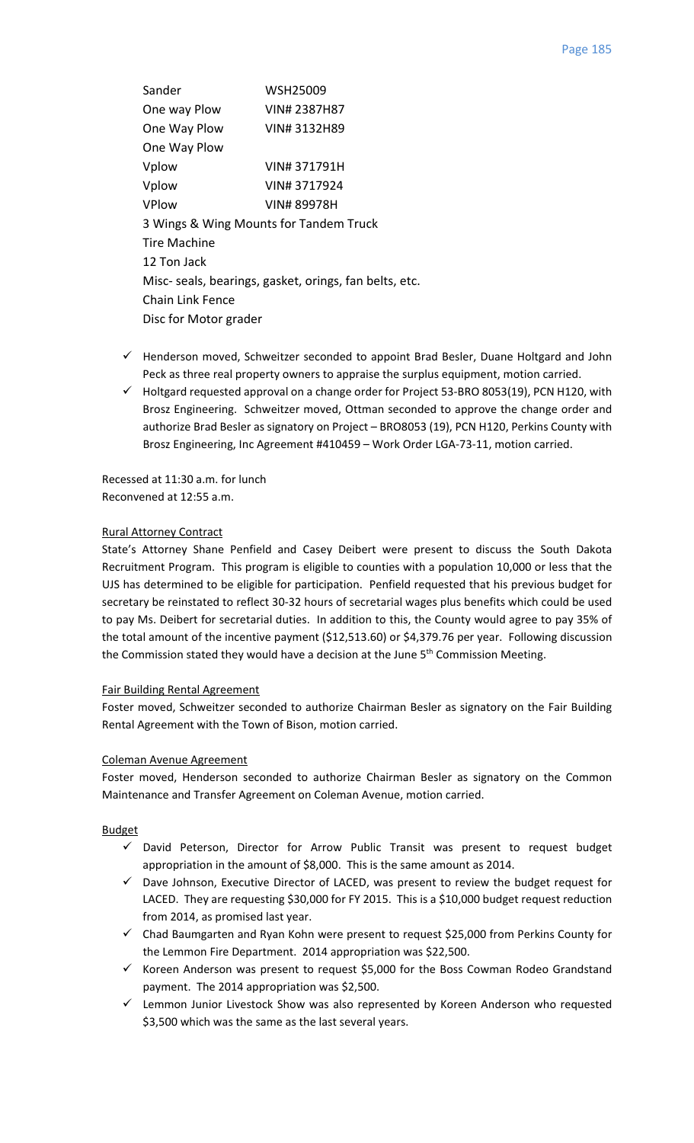Sander WSH25009 One way Plow VIN# 2387H87 One Way Plow VIN# 3132H89 One Way Plow Vplow VIN# 371791H Vplow VIN# 3717924 VPlow VIN# 89978H 3 Wings & Wing Mounts for Tandem Truck Tire Machine 12 Ton Jack Misc‐ seals, bearings, gasket, orings, fan belts, etc. Chain Link Fence Disc for Motor grader

- $\checkmark$  Henderson moved, Schweitzer seconded to appoint Brad Besler, Duane Holtgard and John Peck as three real property owners to appraise the surplus equipment, motion carried.
- $\checkmark$  Holtgard requested approval on a change order for Project 53-BRO 8053(19), PCN H120, with Brosz Engineering. Schweitzer moved, Ottman seconded to approve the change order and authorize Brad Besler as signatory on Project – BRO8053 (19), PCN H120, Perkins County with Brosz Engineering, Inc Agreement #410459 – Work Order LGA‐73‐11, motion carried.

Recessed at 11:30 a.m. for lunch Reconvened at 12:55 a.m.

# Rural Attorney Contract

State's Attorney Shane Penfield and Casey Deibert were present to discuss the South Dakota Recruitment Program. This program is eligible to counties with a population 10,000 or less that the UJS has determined to be eligible for participation. Penfield requested that his previous budget for secretary be reinstated to reflect 30‐32 hours of secretarial wages plus benefits which could be used to pay Ms. Deibert for secretarial duties. In addition to this, the County would agree to pay 35% of the total amount of the incentive payment (\$12,513.60) or \$4,379.76 per year. Following discussion the Commission stated they would have a decision at the June  $5<sup>th</sup>$  Commission Meeting.

## Fair Building Rental Agreement

Foster moved, Schweitzer seconded to authorize Chairman Besler as signatory on the Fair Building Rental Agreement with the Town of Bison, motion carried.

## Coleman Avenue Agreement

Foster moved, Henderson seconded to authorize Chairman Besler as signatory on the Common Maintenance and Transfer Agreement on Coleman Avenue, motion carried.

## **Budget**

- $\checkmark$  David Peterson, Director for Arrow Public Transit was present to request budget appropriation in the amount of \$8,000. This is the same amount as 2014.
- $\checkmark$  Dave Johnson, Executive Director of LACED, was present to review the budget request for LACED. They are requesting \$30,000 for FY 2015. This is a \$10,000 budget request reduction from 2014, as promised last year.
- $\checkmark$  Chad Baumgarten and Ryan Kohn were present to request \$25,000 from Perkins County for the Lemmon Fire Department. 2014 appropriation was \$22,500.
- $\checkmark$  Koreen Anderson was present to request \$5,000 for the Boss Cowman Rodeo Grandstand payment. The 2014 appropriation was \$2,500.
- $\checkmark$  Lemmon Junior Livestock Show was also represented by Koreen Anderson who requested \$3,500 which was the same as the last several years.